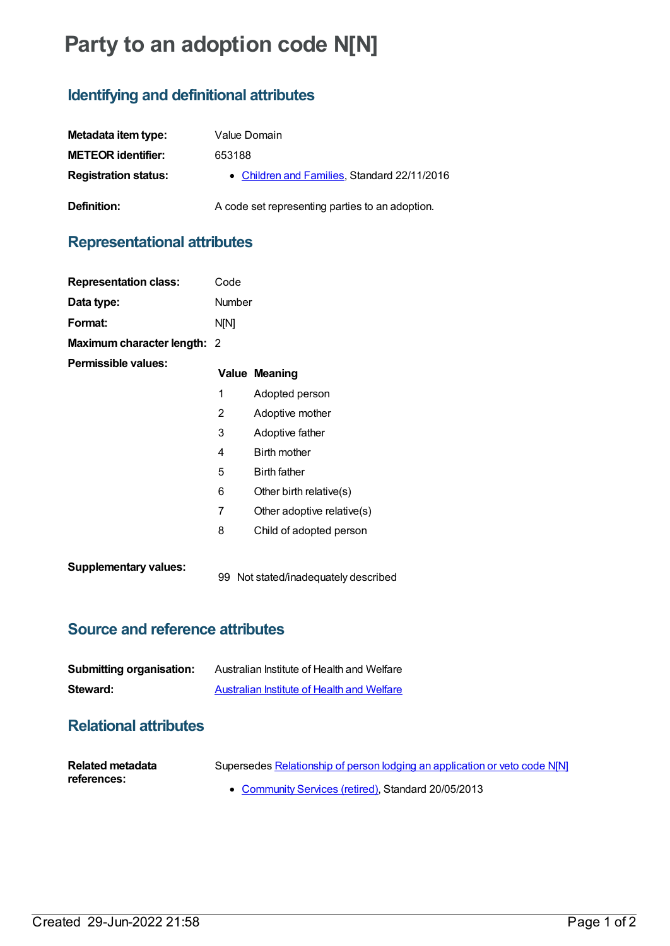# **Party to an adoption code N[N]**

## **Identifying and definitional attributes**

| Metadata item type:         | Value Domain                                    |
|-----------------------------|-------------------------------------------------|
| <b>METEOR identifier:</b>   | 653188                                          |
| <b>Registration status:</b> | • Children and Families, Standard 22/11/2016    |
| Definition:                 | A code set representing parties to an adoption. |

#### **Representational attributes**

| <b>Representation class:</b> | Code           |                            |
|------------------------------|----------------|----------------------------|
| Data type:                   | <b>Number</b>  |                            |
| Format:                      | <b>N[N]</b>    |                            |
| Maximum character length: 2  |                |                            |
| Permissible values:          |                | <b>Value Meaning</b>       |
|                              | 1              | Adopted person             |
|                              | $\overline{2}$ | Adoptive mother            |
|                              | 3              | Adoptive father            |
|                              | 4              | Birth mother               |
|                              | 5              | <b>Birth father</b>        |
|                              | 6              | Other birth relative(s)    |
|                              | 7              | Other adoptive relative(s) |
|                              | 8              | Child of adopted person    |
| <b>Supplementary values:</b> |                |                            |

#### **Source and reference attributes**

| <b>Submitting organisation:</b> | Australian Institute of Health and Welfare |
|---------------------------------|--------------------------------------------|
| Steward:                        | Australian Institute of Health and Welfare |

### **Relational attributes**

| Related metadata | Supersedes Relationship of person lodging an application or veto code N[N] |
|------------------|----------------------------------------------------------------------------|
| references:      |                                                                            |
|                  | • Community Services (retired), Standard 20/05/2013                        |

99 Not stated/inadequately described